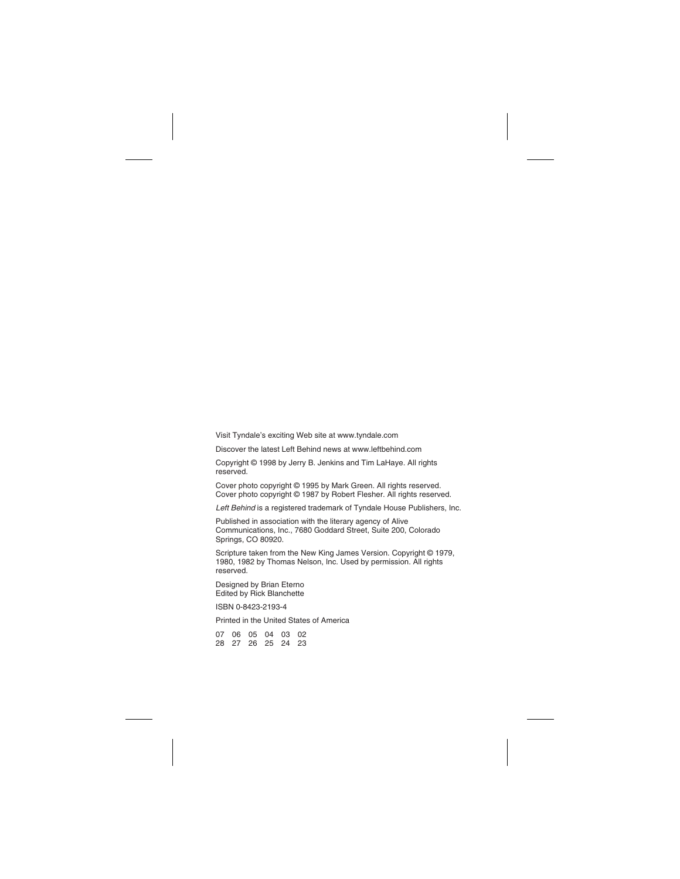Visit Tyndale's exciting Web site at www.tyndale.com

Discover the latest Left Behind news at www.leftbehind.com

Copyright © 1998 by Jerry B. Jenkins and Tim LaHaye. All rights reserved.

Cover photo copyright © 1995 by Mark Green. All rights reserved. Cover photo copyright © 1987 by Robert Flesher. All rights reserved.

Left Behind is a registered trademark of Tyndale House Publishers, Inc.

Published in association with the literary agency of Alive Communications, Inc., 7680 Goddard Street, Suite 200, Colorado Springs, CO 80920.

Scripture taken from the New King James Version. Copyright © 1979, 1980, 1982 by Thomas Nelson, Inc. Used by permission. All rights reserved.

Designed by Brian Eterno Edited by Rick Blanchette

ISBN 0-8423-2193-4

Printed in the United States of America

| 07 06 05 04 03 02 |  |  |
|-------------------|--|--|
| 28 27 26 25 24 23 |  |  |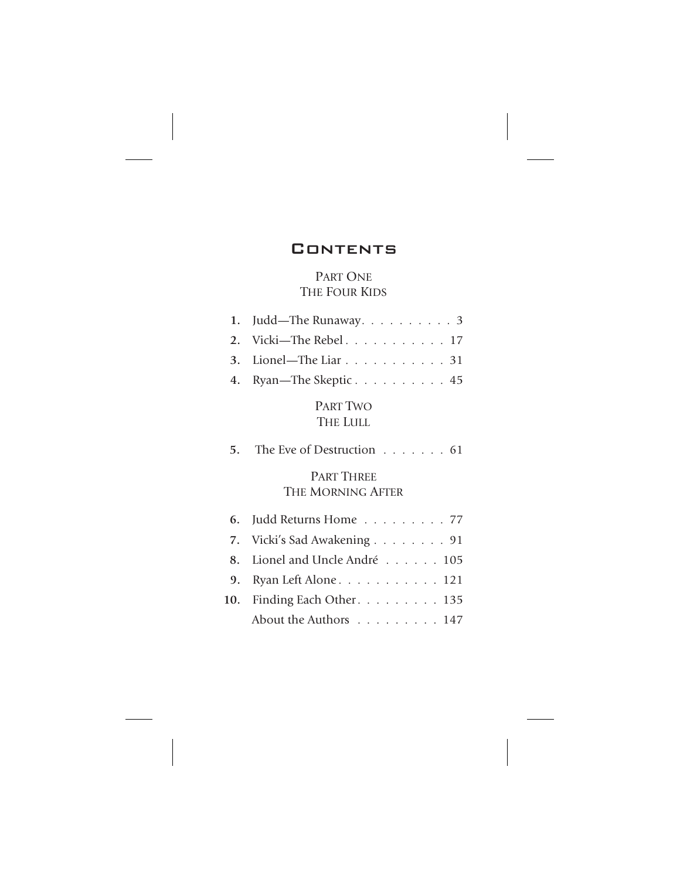## **CONTENTS**

## PART ONE THE FOUR KIDS

| 1. Judd—The Runaway. $\ldots \ldots \ldots$ 3 |
|-----------------------------------------------|
| 2. Vicki-The Rebel 17                         |
| 3. Lionel—The Liar 31                         |
| 4. Ryan—The Skeptic 45                        |

PART TWO THE LULL

| 5. The Eve of Destruction 61                   |
|------------------------------------------------|
| <b>PART THREE</b><br>THE MORNING AFTER         |
| 6. Judd Returns Home $\ldots \ldots \ldots$ 77 |
| 7. Vicki's Sad Awakening 91                    |
| 8. Lionel and Uncle André 105                  |
| 9. Ryan Left Alone. 121                        |
| $-1$ $-1$ $-1$ $-1$                            |

| 10. Finding Each Other. 135 |  |  |  |  |  |
|-----------------------------|--|--|--|--|--|
| About the Authors 147       |  |  |  |  |  |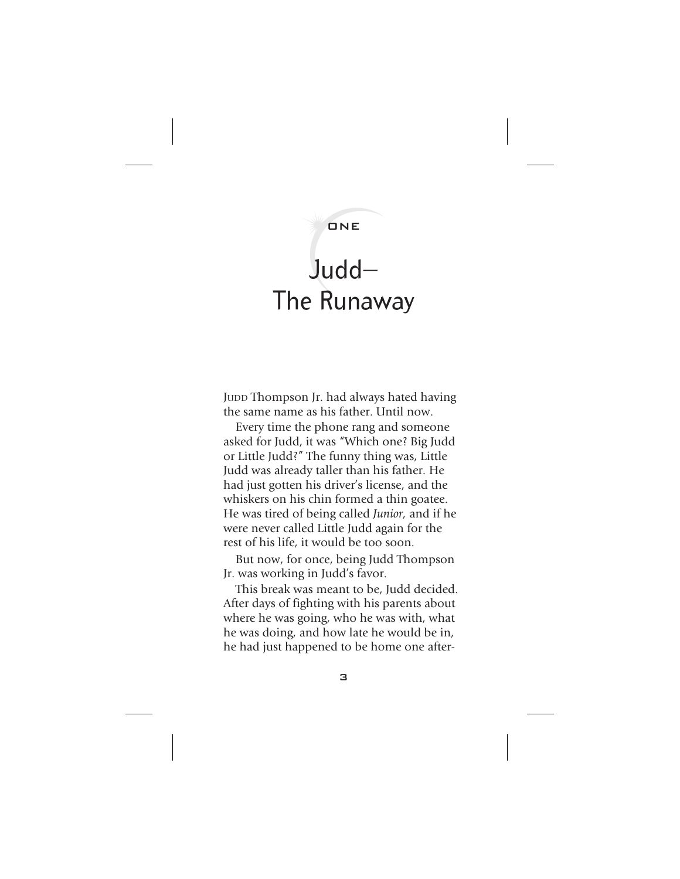## ONE

## $J$ udd $-$ The Runaway

JUDD Thompson Jr. had always hated having the same name as his father. Until now.

Every time the phone rang and someone asked for Judd, it was "Which one? Big Judd or Little Judd?" The funny thing was, Little Judd was already taller than his father. He had just gotten his driver's license, and the whiskers on his chin formed a thin goatee. He was tired of being called *Junior,* and if he were never called Little Judd again for the rest of his life, it would be too soon.

But now, for once, being Judd Thompson Jr. was working in Judd's favor.

This break was meant to be, Judd decided. After days of fighting with his parents about where he was going, who he was with, what he was doing, and how late he would be in, he had just happened to be home one after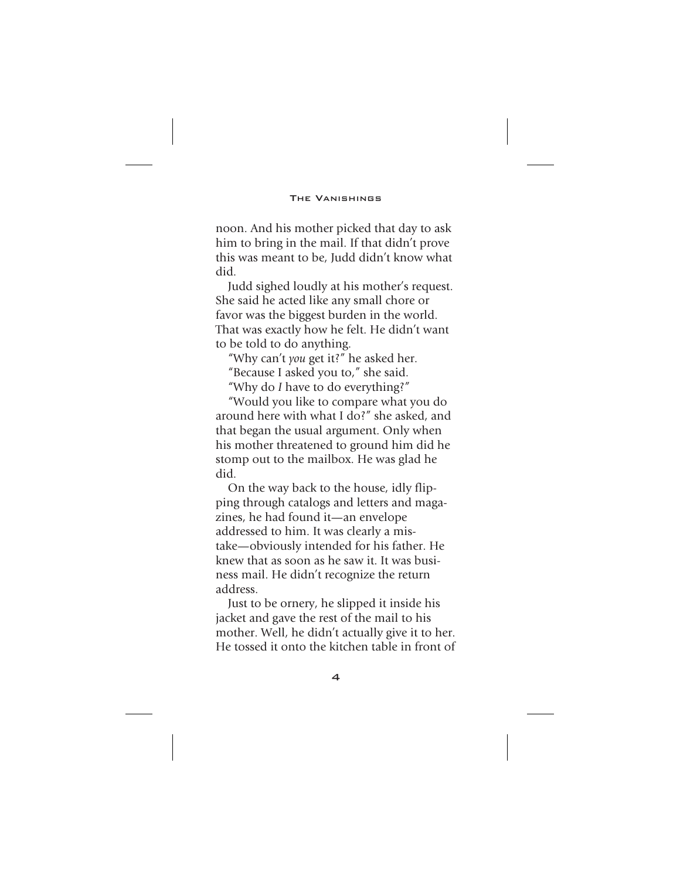noon. And his mother picked that day to ask him to bring in the mail. If that didn't prove this was meant to be, Judd didn't know what did.

Judd sighed loudly at his mother's request. She said he acted like any small chore or favor was the biggest burden in the world. That was exactly how he felt. He didn't want to be told to do anything.

"Why can't *you* get it?" he asked her.

"Because I asked you to," she said.

"Why do *I* have to do everything?"

"Would you like to compare what you do around here with what I do?" she asked, and that began the usual argument. Only when his mother threatened to ground him did he stomp out to the mailbox. He was glad he did.

On the way back to the house, idly flipping through catalogs and letters and magazines, he had found it—an envelope addressed to him. It was clearly a mistake—obviously intended for his father. He knew that as soon as he saw it. It was business mail. He didn't recognize the return address.

Just to be ornery, he slipped it inside his jacket and gave the rest of the mail to his mother. Well, he didn't actually give it to her. He tossed it onto the kitchen table in front of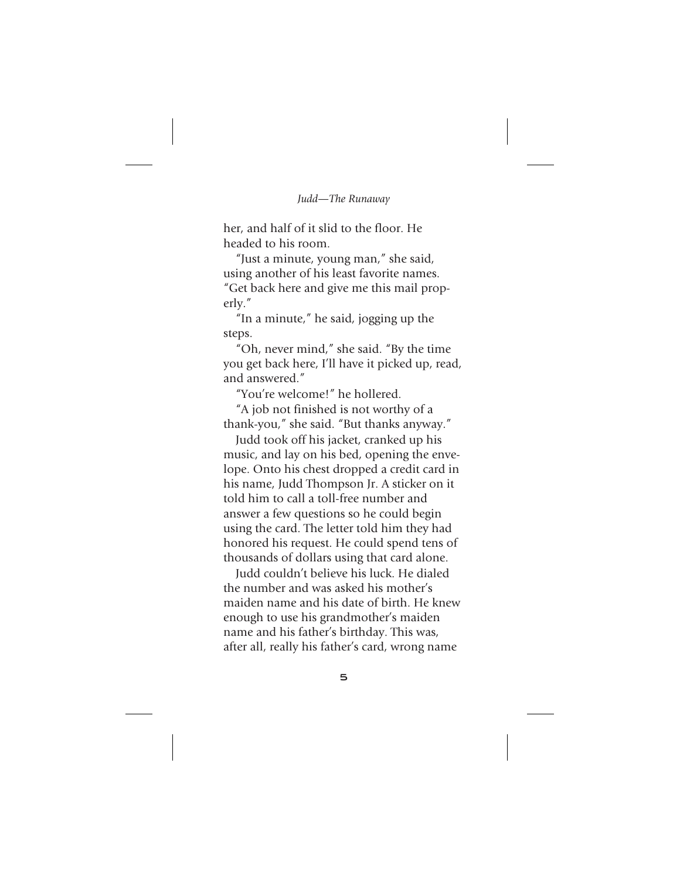her, and half of it slid to the floor. He headed to his room.

"Just a minute, young man," she said, using another of his least favorite names. "Get back here and give me this mail properly."

"In a minute," he said, jogging up the steps.

"Oh, never mind," she said. "By the time you get back here, I'll have it picked up, read, and answered."

"You're welcome!" he hollered.

"A job not finished is not worthy of a thank-you," she said. "But thanks anyway."

Judd took off his jacket, cranked up his music, and lay on his bed, opening the envelope. Onto his chest dropped a credit card in his name, Judd Thompson Jr. A sticker on it told him to call a toll-free number and answer a few questions so he could begin using the card. The letter told him they had honored his request. He could spend tens of thousands of dollars using that card alone.

Judd couldn't believe his luck. He dialed the number and was asked his mother's maiden name and his date of birth. He knew enough to use his grandmother's maiden name and his father's birthday. This was, after all, really his father's card, wrong name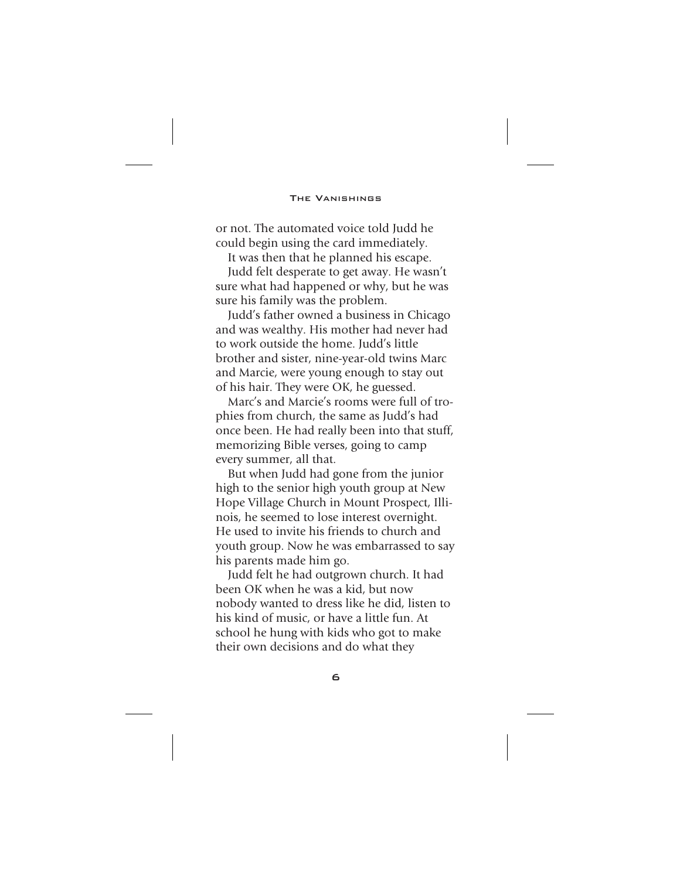or not. The automated voice told Judd he could begin using the card immediately.

It was then that he planned his escape.

Judd felt desperate to get away. He wasn't sure what had happened or why, but he was sure his family was the problem.

Judd's father owned a business in Chicago and was wealthy. His mother had never had to work outside the home. Judd's little brother and sister, nine-year-old twins Marc and Marcie, were young enough to stay out of his hair. They were OK, he guessed.

Marc's and Marcie's rooms were full of trophies from church, the same as Judd's had once been. He had really been into that stuff, memorizing Bible verses, going to camp every summer, all that.

But when Judd had gone from the junior high to the senior high youth group at New Hope Village Church in Mount Prospect, Illinois, he seemed to lose interest overnight. He used to invite his friends to church and youth group. Now he was embarrassed to say his parents made him go.

Judd felt he had outgrown church. It had been OK when he was a kid, but now nobody wanted to dress like he did, listen to his kind of music, or have a little fun. At school he hung with kids who got to make their own decisions and do what they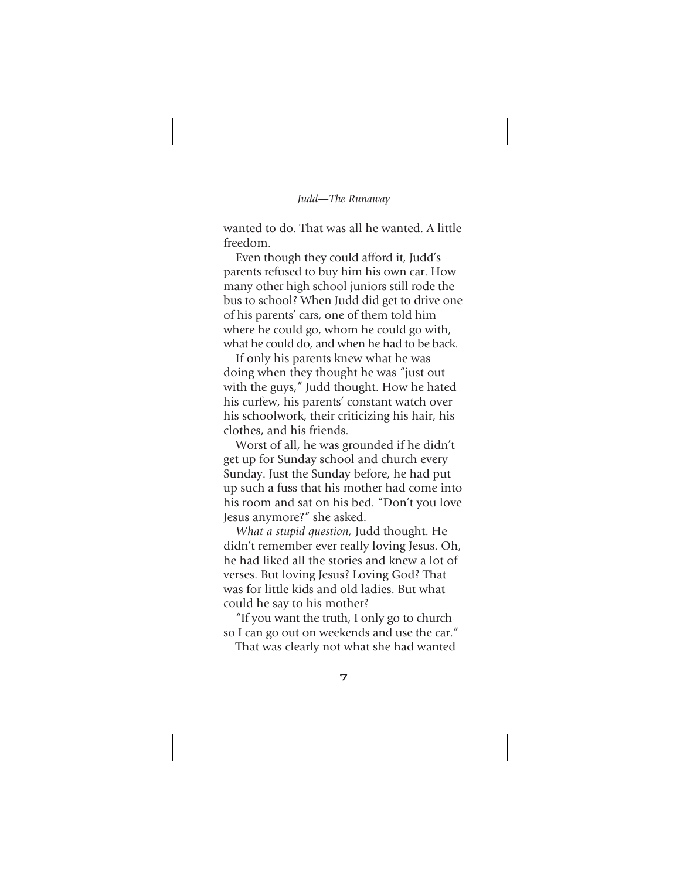wanted to do. That was all he wanted. A little freedom.

Even though they could afford it, Judd's parents refused to buy him his own car. How many other high school juniors still rode the bus to school? When Judd did get to drive one of his parents' cars, one of them told him where he could go, whom he could go with, what he could do, and when he had to be back.

If only his parents knew what he was doing when they thought he was "just out with the guys," Judd thought. How he hated his curfew, his parents' constant watch over his schoolwork, their criticizing his hair, his clothes, and his friends.

Worst of all, he was grounded if he didn't get up for Sunday school and church every Sunday. Just the Sunday before, he had put up such a fuss that his mother had come into his room and sat on his bed. "Don't you love Jesus anymore?" she asked.

*What a stupid question,* Judd thought. He didn't remember ever really loving Jesus. Oh, he had liked all the stories and knew a lot of verses. But loving Jesus? Loving God? That was for little kids and old ladies. But what could he say to his mother?

"If you want the truth, I only go to church so I can go out on weekends and use the car."

That was clearly not what she had wanted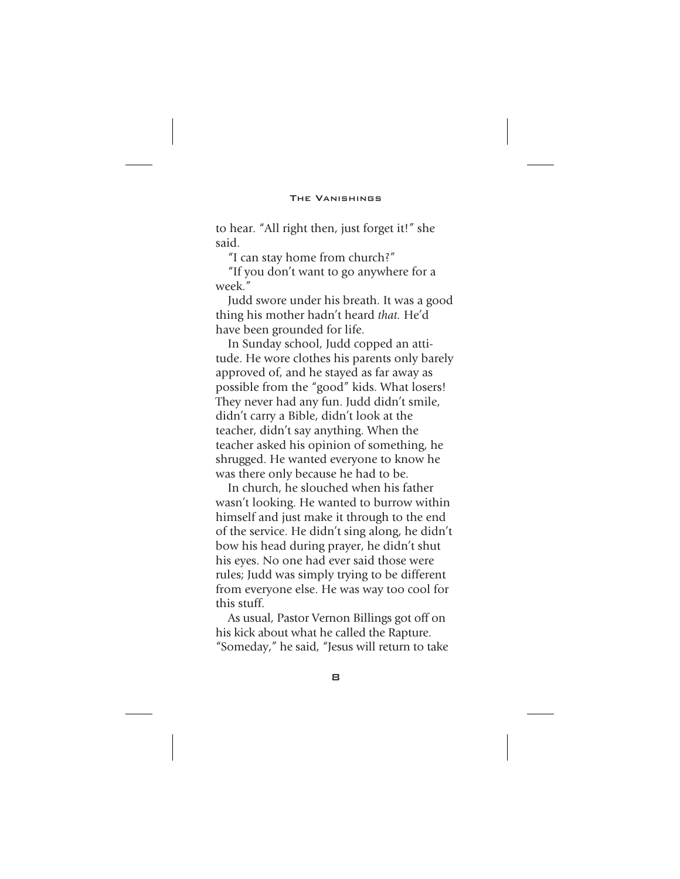to hear. "All right then, just forget it!" she said.

"I can stay home from church?"

"If you don't want to go anywhere for a week."

Judd swore under his breath. It was a good thing his mother hadn't heard *that.* He'd have been grounded for life.

In Sunday school, Judd copped an attitude. He wore clothes his parents only barely approved of, and he stayed as far away as possible from the "good" kids. What losers! They never had any fun. Judd didn't smile, didn't carry a Bible, didn't look at the teacher, didn't say anything. When the teacher asked his opinion of something, he shrugged. He wanted everyone to know he was there only because he had to be.

In church, he slouched when his father wasn't looking. He wanted to burrow within himself and just make it through to the end of the service. He didn't sing along, he didn't bow his head during prayer, he didn't shut his eyes. No one had ever said those were rules; Judd was simply trying to be different from everyone else. He was way too cool for this stuff.

As usual, Pastor Vernon Billings got off on his kick about what he called the Rapture. "Someday," he said, "Jesus will return to take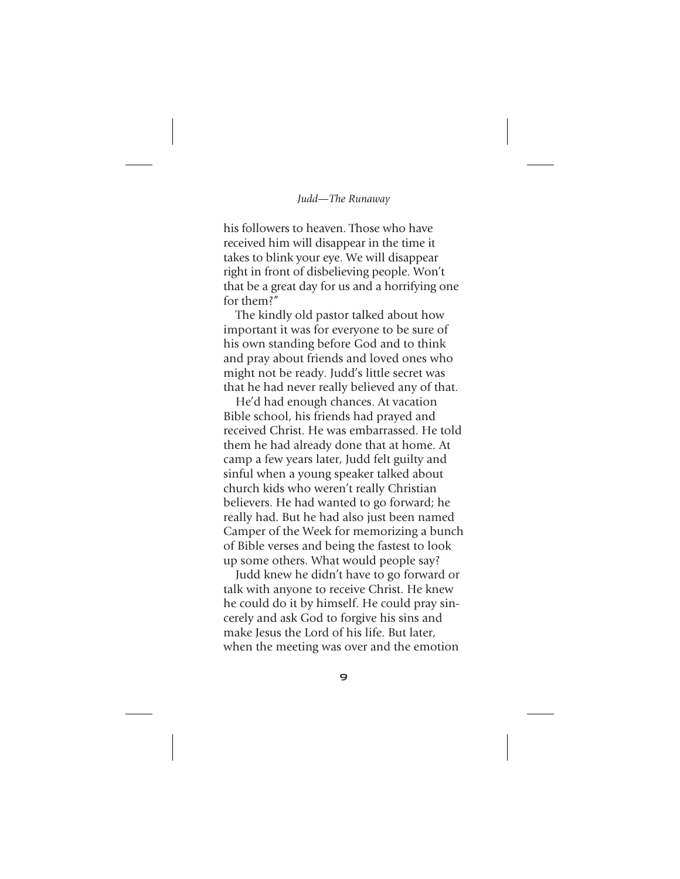his followers to heaven. Those who have received him will disappear in the time it takes to blink your eye. We will disappear right in front of disbelieving people. Won't that be a great day for us and a horrifying one for them?"

The kindly old pastor talked about how important it was for everyone to be sure of his own standing before God and to think and pray about friends and loved ones who might not be ready. Judd's little secret was that he had never really believed any of that.

He'd had enough chances. At vacation Bible school, his friends had prayed and received Christ. He was embarrassed. He told them he had already done that at home. At camp a few years later, Judd felt guilty and sinful when a young speaker talked about church kids who weren't really Christian believers. He had wanted to go forward; he really had. But he had also just been named Camper of the Week for memorizing a bunch of Bible verses and being the fastest to look up some others. What would people say?

Judd knew he didn't have to go forward or talk with anyone to receive Christ. He knew he could do it by himself. He could pray sincerely and ask God to forgive his sins and make Jesus the Lord of his life. But later, when the meeting was over and the emotion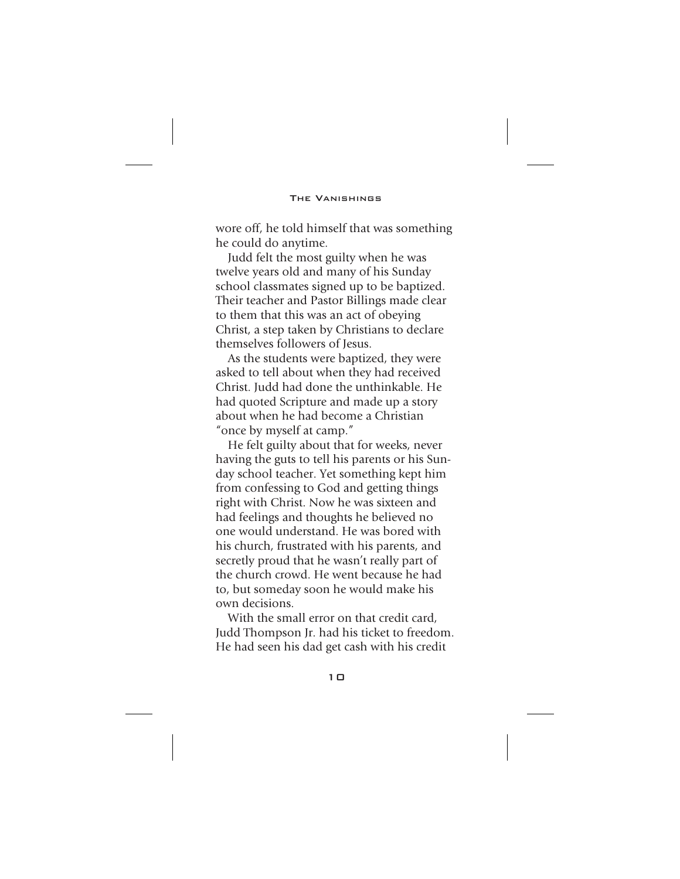wore off, he told himself that was something he could do anytime.

Judd felt the most guilty when he was twelve years old and many of his Sunday school classmates signed up to be baptized. Their teacher and Pastor Billings made clear to them that this was an act of obeying Christ, a step taken by Christians to declare themselves followers of Jesus.

As the students were baptized, they were asked to tell about when they had received Christ. Judd had done the unthinkable. He had quoted Scripture and made up a story about when he had become a Christian "once by myself at camp."

He felt guilty about that for weeks, never having the guts to tell his parents or his Sunday school teacher. Yet something kept him from confessing to God and getting things right with Christ. Now he was sixteen and had feelings and thoughts he believed no one would understand. He was bored with his church, frustrated with his parents, and secretly proud that he wasn't really part of the church crowd. He went because he had to, but someday soon he would make his own decisions.

With the small error on that credit card, Judd Thompson Jr. had his ticket to freedom. He had seen his dad get cash with his credit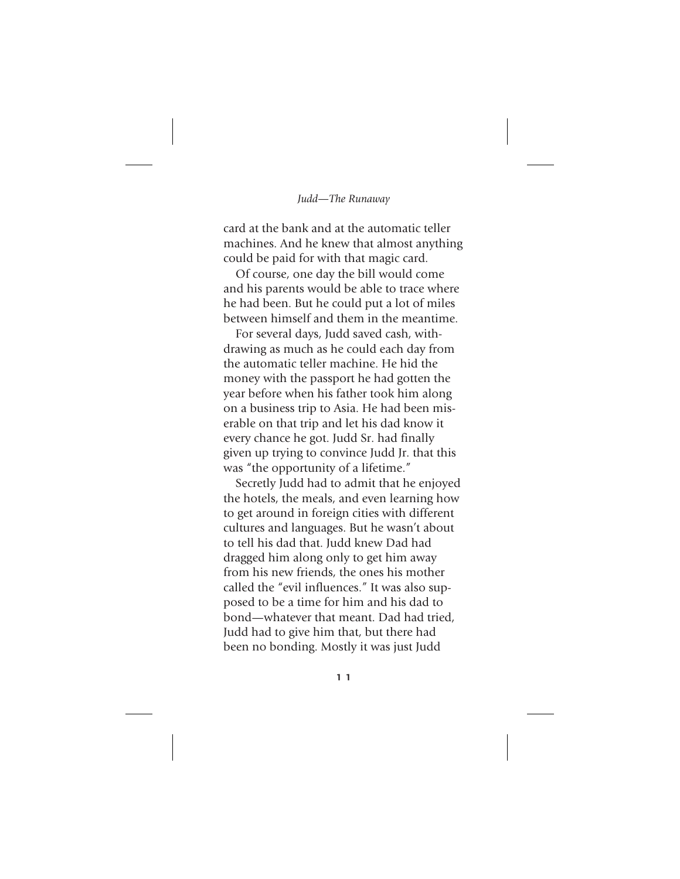card at the bank and at the automatic teller machines. And he knew that almost anything could be paid for with that magic card.

Of course, one day the bill would come and his parents would be able to trace where he had been. But he could put a lot of miles between himself and them in the meantime.

For several days, Judd saved cash, withdrawing as much as he could each day from the automatic teller machine. He hid the money with the passport he had gotten the year before when his father took him along on a business trip to Asia. He had been miserable on that trip and let his dad know it every chance he got. Judd Sr. had finally given up trying to convince Judd Jr. that this was "the opportunity of a lifetime."

Secretly Judd had to admit that he enjoyed the hotels, the meals, and even learning how to get around in foreign cities with different cultures and languages. But he wasn't about to tell his dad that. Judd knew Dad had dragged him along only to get him away from his new friends, the ones his mother called the "evil influences." It was also supposed to be a time for him and his dad to bond—whatever that meant. Dad had tried, Judd had to give him that, but there had been no bonding. Mostly it was just Judd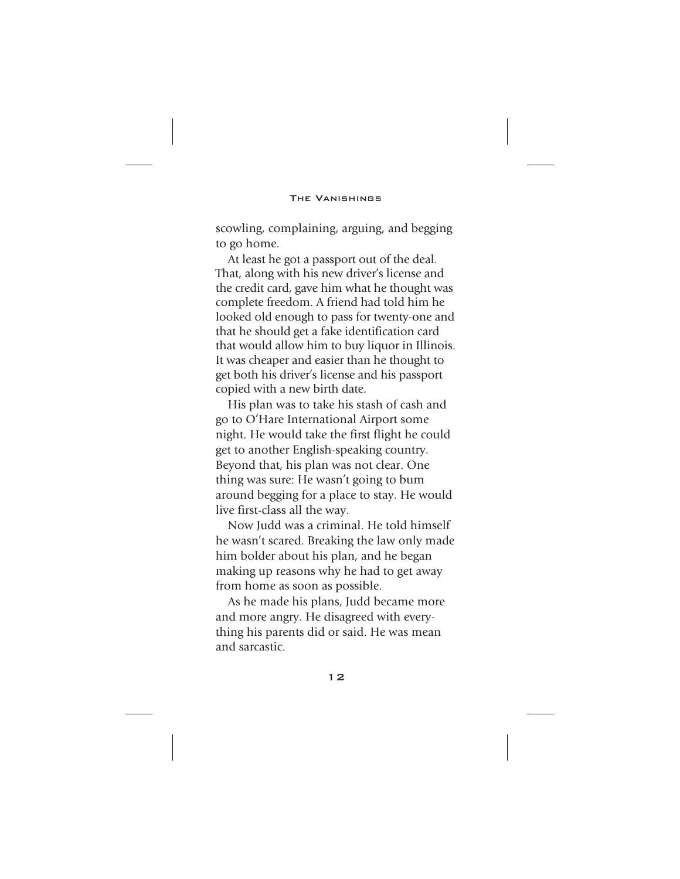scowling, complaining, arguing, and begging to go home.

At least he got a passport out of the deal. That, along with his new driver's license and the credit card, gave him what he thought was complete freedom. A friend had told him he looked old enough to pass for twenty-one and that he should get a fake identification card that would allow him to buy liquor in Illinois. It was cheaper and easier than he thought to get both his driver's license and his passport copied with a new birth date.

His plan was to take his stash of cash and go to O'Hare International Airport some night. He would take the first flight he could get to another English-speaking country. Beyond that, his plan was not clear. One thing was sure: He wasn't going to bum around begging for a place to stay. He would live first-class all the way.

Now Judd was a criminal. He told himself he wasn't scared. Breaking the law only made him bolder about his plan, and he began making up reasons why he had to get away from home as soon as possible.

As he made his plans, Judd became more and more angry. He disagreed with everything his parents did or said. He was mean and sarcastic.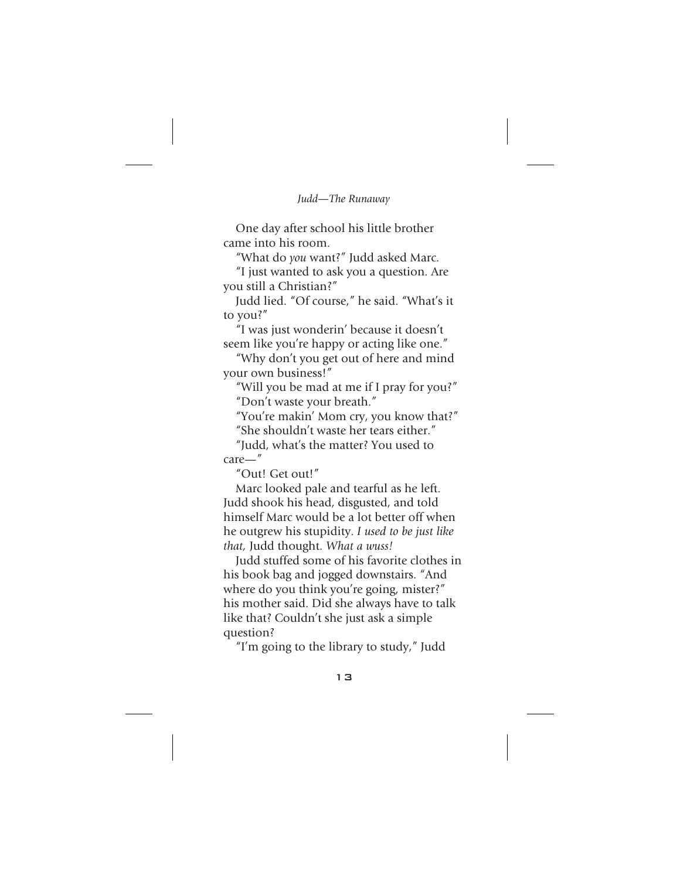One day after school his little brother came into his room.

"What do *you* want?" Judd asked Marc.

"I just wanted to ask you a question. Are you still a Christian?"

Judd lied. "Of course," he said. "What's it to you?"

"I was just wonderin' because it doesn't seem like you're happy or acting like one."

"Why don't you get out of here and mind your own business!"

"Will you be mad at me if I pray for you?" "Don't waste your breath."

"You're makin' Mom cry, you know that?"

"She shouldn't waste her tears either."

"Judd, what's the matter? You used to care—"

"Out! Get out!"

Marc looked pale and tearful as he left. Judd shook his head, disgusted, and told himself Marc would be a lot better off when he outgrew his stupidity. *I used to be just like that,* Judd thought. *What a wuss!*

Judd stuffed some of his favorite clothes in his book bag and jogged downstairs. "And where do you think you're going, mister?" his mother said. Did she always have to talk like that? Couldn't she just ask a simple question?

"I'm going to the library to study," Judd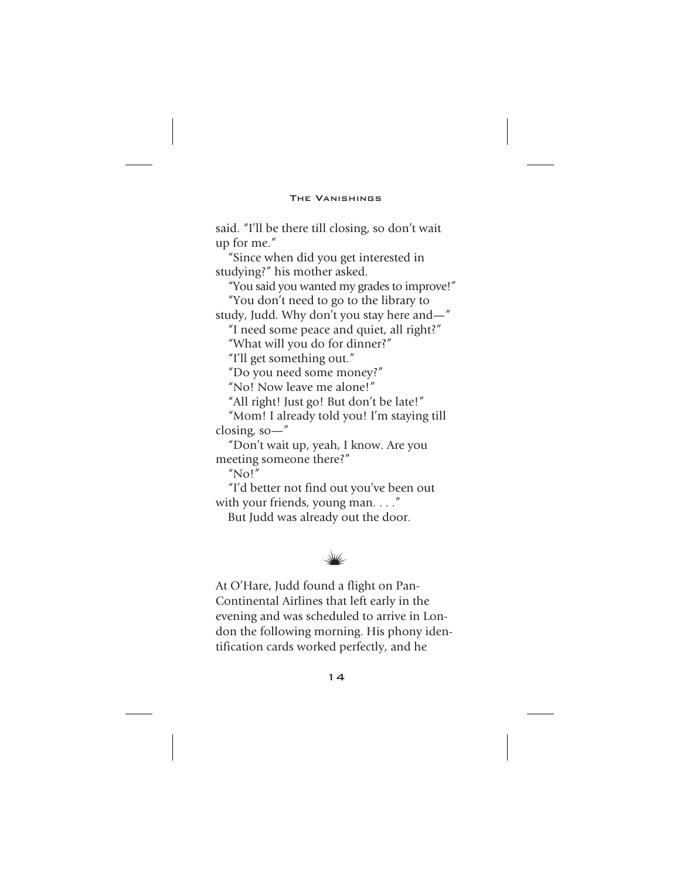said. "I'll be there till closing, so don't wait up for me."

"Since when did you get interested in studying?" his mother asked.

"You said you wanted my grades to improve!" "You don't need to go to the library to

study, Judd. Why don't you stay here and—"

"I need some peace and quiet, all right?" "What will you do for dinner?"

"I'll get something out."

"Do you need some money?"

"No! Now leave me alone!"

"All right! Just go! But don't be late!"

"Mom! I already told you! I'm staying till closing, so—"

"Don't wait up, yeah, I know. Are you meeting someone there?"

"No!"

"I'd better not find out you've been out with your friends, young man. . . . "

But Judd was already out the door.



At O'Hare, Judd found a flight on Pan-Continental Airlines that left early in the evening and was scheduled to arrive in London the following morning. His phony identification cards worked perfectly, and he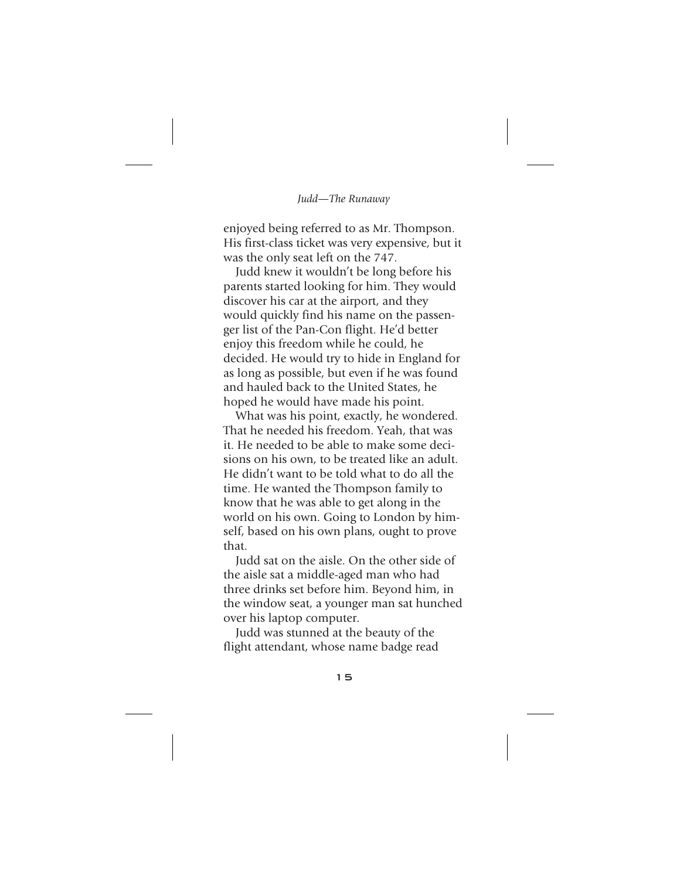enjoyed being referred to as Mr. Thompson. His first-class ticket was very expensive, but it was the only seat left on the 747.

Judd knew it wouldn't be long before his parents started looking for him. They would discover his car at the airport, and they would quickly find his name on the passenger list of the Pan-Con flight. He'd better enjoy this freedom while he could, he decided. He would try to hide in England for as long as possible, but even if he was found and hauled back to the United States, he hoped he would have made his point.

What was his point, exactly, he wondered. That he needed his freedom. Yeah, that was it. He needed to be able to make some decisions on his own, to be treated like an adult. He didn't want to be told what to do all the time. He wanted the Thompson family to know that he was able to get along in the world on his own. Going to London by himself, based on his own plans, ought to prove that.

Judd sat on the aisle. On the other side of the aisle sat a middle-aged man who had three drinks set before him. Beyond him, in the window seat, a younger man sat hunched over his laptop computer.

Judd was stunned at the beauty of the flight attendant, whose name badge read